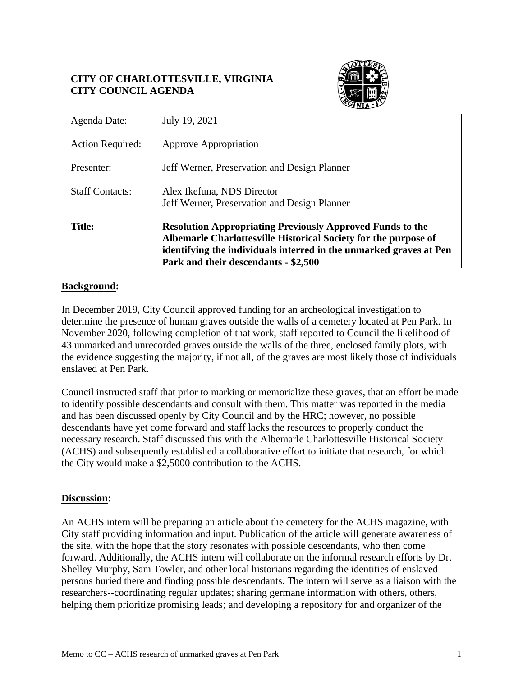# **CITY OF CHARLOTTESVILLE, VIRGINIA CITY COUNCIL AGENDA**



| Agenda Date:            | July 19, 2021                                                                                                                                                                                                                                     |
|-------------------------|---------------------------------------------------------------------------------------------------------------------------------------------------------------------------------------------------------------------------------------------------|
| <b>Action Required:</b> | Approve Appropriation                                                                                                                                                                                                                             |
| Presenter:              | Jeff Werner, Preservation and Design Planner                                                                                                                                                                                                      |
| <b>Staff Contacts:</b>  | Alex Ikefuna, NDS Director<br>Jeff Werner, Preservation and Design Planner                                                                                                                                                                        |
| <b>Title:</b>           | <b>Resolution Appropriating Previously Approved Funds to the</b><br>Albemarle Charlottesville Historical Society for the purpose of<br>identifying the individuals interred in the unmarked graves at Pen<br>Park and their descendants - \$2,500 |

# **Background:**

In December 2019, City Council approved funding for an archeological investigation to determine the presence of human graves outside the walls of a cemetery located at Pen Park. In November 2020, following completion of that work, staff reported to Council the likelihood of 43 unmarked and unrecorded graves outside the walls of the three, enclosed family plots, with the evidence suggesting the majority, if not all, of the graves are most likely those of individuals enslaved at Pen Park.

Council instructed staff that prior to marking or memorialize these graves, that an effort be made to identify possible descendants and consult with them. This matter was reported in the media and has been discussed openly by City Council and by the HRC; however, no possible descendants have yet come forward and staff lacks the resources to properly conduct the necessary research. Staff discussed this with the Albemarle Charlottesville Historical Society (ACHS) and subsequently established a collaborative effort to initiate that research, for which the City would make a \$2,5000 contribution to the ACHS.

# **Discussion:**

An ACHS intern will be preparing an article about the cemetery for the ACHS magazine, with City staff providing information and input. Publication of the article will generate awareness of the site, with the hope that the story resonates with possible descendants, who then come forward. Additionally, the ACHS intern will collaborate on the informal research efforts by Dr. Shelley Murphy, Sam Towler, and other local historians regarding the identities of enslaved persons buried there and finding possible descendants. The intern will serve as a liaison with the researchers--coordinating regular updates; sharing germane information with others, others, helping them prioritize promising leads; and developing a repository for and organizer of the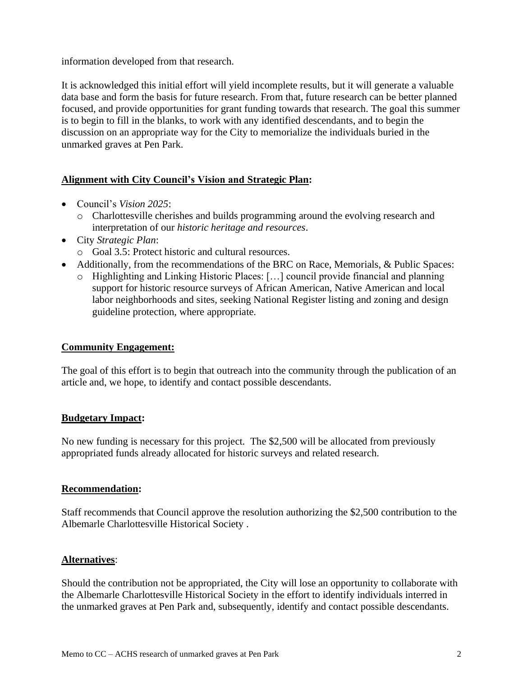information developed from that research.

It is acknowledged this initial effort will yield incomplete results, but it will generate a valuable data base and form the basis for future research. From that, future research can be better planned focused, and provide opportunities for grant funding towards that research. The goal this summer is to begin to fill in the blanks, to work with any identified descendants, and to begin the discussion on an appropriate way for the City to memorialize the individuals buried in the unmarked graves at Pen Park.

# **Alignment with City Council's Vision and Strategic Plan:**

- Council's *Vision 2025*:
	- o Charlottesville cherishes and builds programming around the evolving research and interpretation of our *historic heritage and resources*.
- City *Strategic Plan*: o Goal 3.5: Protect historic and cultural resources.
- Additionally, from the recommendations of the BRC on Race, Memorials, & Public Spaces:
	- o Highlighting and Linking Historic Places: […] council provide financial and planning support for historic resource surveys of African American, Native American and local labor neighborhoods and sites, seeking National Register listing and zoning and design guideline protection, where appropriate.

# **Community Engagement:**

The goal of this effort is to begin that outreach into the community through the publication of an article and, we hope, to identify and contact possible descendants.

# **Budgetary Impact:**

No new funding is necessary for this project. The \$2,500 will be allocated from previously appropriated funds already allocated for historic surveys and related research.

# **Recommendation:**

Staff recommends that Council approve the resolution authorizing the \$2,500 contribution to the Albemarle Charlottesville Historical Society .

# **Alternatives**:

Should the contribution not be appropriated, the City will lose an opportunity to collaborate with the Albemarle Charlottesville Historical Society in the effort to identify individuals interred in the unmarked graves at Pen Park and, subsequently, identify and contact possible descendants.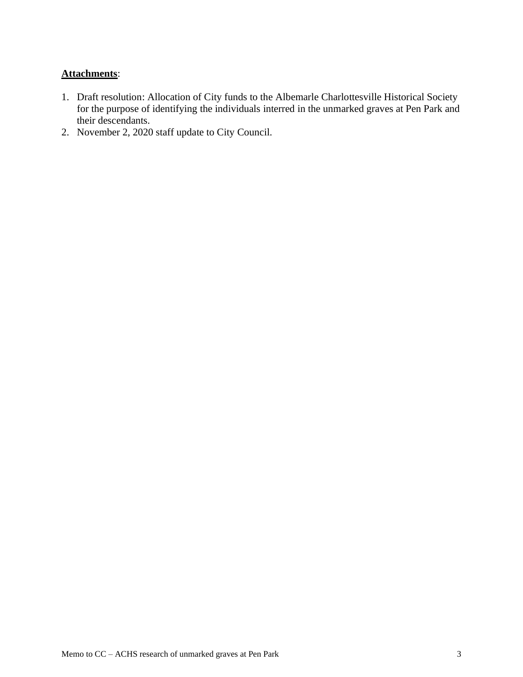# **Attachments**:

- 1. Draft resolution: Allocation of City funds to the Albemarle Charlottesville Historical Society for the purpose of identifying the individuals interred in the unmarked graves at Pen Park and their descendants.
- 2. November 2, 2020 staff update to City Council.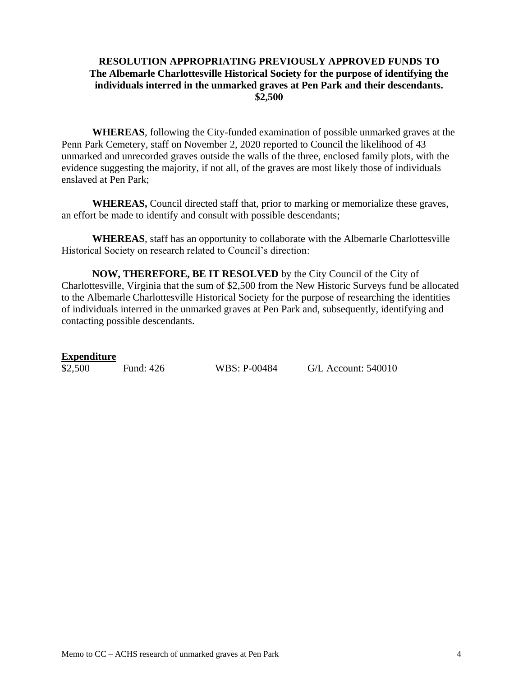### **RESOLUTION APPROPRIATING PREVIOUSLY APPROVED FUNDS TO The Albemarle Charlottesville Historical Society for the purpose of identifying the individuals interred in the unmarked graves at Pen Park and their descendants. \$2,500**

**WHEREAS**, following the City-funded examination of possible unmarked graves at the Penn Park Cemetery, staff on November 2, 2020 reported to Council the likelihood of 43 unmarked and unrecorded graves outside the walls of the three, enclosed family plots, with the evidence suggesting the majority, if not all, of the graves are most likely those of individuals enslaved at Pen Park;

**WHEREAS,** Council directed staff that, prior to marking or memorialize these graves, an effort be made to identify and consult with possible descendants;

**WHEREAS**, staff has an opportunity to collaborate with the Albemarle Charlottesville Historical Society on research related to Council's direction:

**NOW, THEREFORE, BE IT RESOLVED** by the City Council of the City of Charlottesville, Virginia that the sum of \$2,500 from the New Historic Surveys fund be allocated to the Albemarle Charlottesville Historical Society for the purpose of researching the identities of individuals interred in the unmarked graves at Pen Park and, subsequently, identifying and contacting possible descendants.

### **Expenditure**

\$2,500 Fund: 426 WBS: P-00484 G/L Account: 540010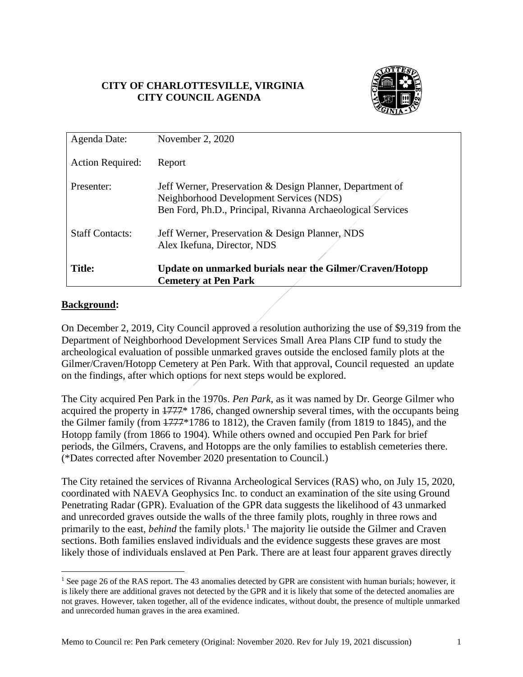# **CITY OF CHARLOTTESVILLE, VIRGINIA CITY COUNCIL AGENDA**



| Agenda Date:            | November 2, 2020                                                                                                                                                    |
|-------------------------|---------------------------------------------------------------------------------------------------------------------------------------------------------------------|
| <b>Action Required:</b> | Report                                                                                                                                                              |
| Presenter:              | Jeff Werner, Preservation & Design Planner, Department of<br>Neighborhood Development Services (NDS)<br>Ben Ford, Ph.D., Principal, Rivanna Archaeological Services |
| <b>Staff Contacts:</b>  | Jeff Werner, Preservation & Design Planner, NDS<br>Alex Ikefuna, Director, NDS                                                                                      |
| <b>Title:</b>           | Update on unmarked burials near the Gilmer/Craven/Hotopp<br><b>Cemetery at Pen Park</b>                                                                             |

### **Background:**

On December 2, 2019, City Council approved a resolution authorizing the use of \$9,319 from the Department of Neighborhood Development Services Small Area Plans CIP fund to study the archeological evaluation of possible unmarked graves outside the enclosed family plots at the Gilmer/Craven/Hotopp Cemetery at Pen Park. With that approval, Council requested an update on the findings, after which options for next steps would be explored.

The City acquired Pen Park in the 1970s. *Pen Park*, as it was named by Dr. George Gilmer who acquired the property in  $\frac{1777}{8}$  1786, changed ownership several times, with the occupants being the Gilmer family (from 1777\*1786 to 1812), the Craven family (from 1819 to 1845), and the Hotopp family (from 1866 to 1904). While others owned and occupied Pen Park for brief periods, the Gilmers, Cravens, and Hotopps are the only families to establish cemeteries there. (\*Dates corrected after November 2020 presentation to Council.)

The City retained the services of Rivanna Archeological Services (RAS) who, on July 15, 2020, coordinated with NAEVA Geophysics Inc. to conduct an examination of the site using Ground Penetrating Radar (GPR). Evaluation of the GPR data suggests the likelihood of 43 unmarked and unrecorded graves outside the walls of the three family plots, roughly in three rows and primarily to the east, *behind* the family plots.<sup>1</sup> The majority lie outside the Gilmer and Craven sections. Both families enslaved individuals and the evidence suggests these graves are most likely those of individuals enslaved at Pen Park. There are at least four apparent graves directly

<sup>&</sup>lt;sup>1</sup> See page 26 of the RAS report. The 43 anomalies detected by GPR are consistent with human burials; however, it is likely there are additional graves not detected by the GPR and it is likely that some of the detected anomalies are not graves. However, taken together, all of the evidence indicates, without doubt, the presence of multiple unmarked and unrecorded human graves in the area examined.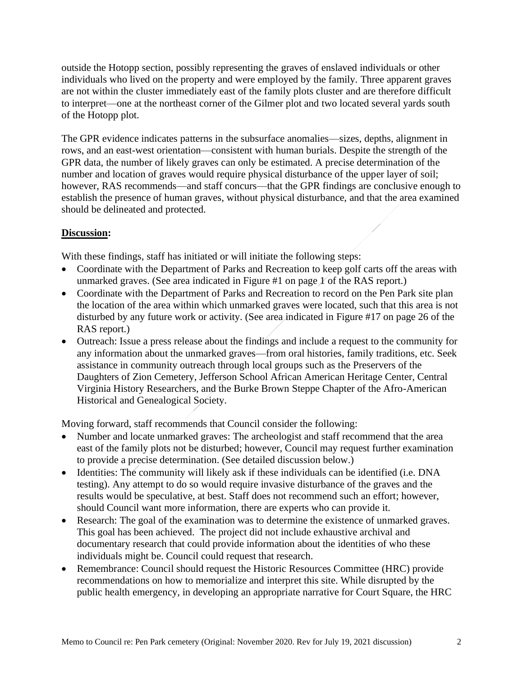outside the Hotopp section, possibly representing the graves of enslaved individuals or other individuals who lived on the property and were employed by the family. Three apparent graves are not within the cluster immediately east of the family plots cluster and are therefore difficult to interpret—one at the northeast corner of the Gilmer plot and two located several yards south of the Hotopp plot.

The GPR evidence indicates patterns in the subsurface anomalies—sizes, depths, alignment in rows, and an east-west orientation—consistent with human burials. Despite the strength of the GPR data, the number of likely graves can only be estimated. A precise determination of the number and location of graves would require physical disturbance of the upper layer of soil; however, RAS recommends—and staff concurs—that the GPR findings are conclusive enough to establish the presence of human graves, without physical disturbance, and that the area examined should be delineated and protected.

# **Discussion:**

With these findings, staff has initiated or will initiate the following steps:

- Coordinate with the Department of Parks and Recreation to keep golf carts off the areas with unmarked graves. (See area indicated in Figure #1 on page  $\chi$  of the RAS report.)
- Coordinate with the Department of Parks and Recreation to record on the Pen Park site plan the location of the area within which unmarked graves were located, such that this area is not disturbed by any future work or activity. (See area indicated in Figure #17 on page 26 of the RAS report.)
- Outreach: Issue a press release about the findings and include a request to the community for any information about the unmarked graves—from oral histories, family traditions, etc. Seek assistance in community outreach through local groups such as the Preservers of the Daughters of Zion Cemetery, Jefferson School African American Heritage Center, Central Virginia History Researchers, and the Burke Brown Steppe Chapter of the Afro-American Historical and Genealogical Society.

Moving forward, staff recommends that Council consider the following:

- Number and locate unmarked graves: The archeologist and staff recommend that the area east of the family plots not be disturbed; however, Council may request further examination to provide a precise determination. (See detailed discussion below.)
- Identities: The community will likely ask if these individuals can be identified (i.e. DNA testing). Any attempt to do so would require invasive disturbance of the graves and the results would be speculative, at best. Staff does not recommend such an effort; however, should Council want more information, there are experts who can provide it.
- Research: The goal of the examination was to determine the existence of unmarked graves. This goal has been achieved. The project did not include exhaustive archival and documentary research that could provide information about the identities of who these individuals might be. Council could request that research.
- Remembrance: Council should request the Historic Resources Committee (HRC) provide recommendations on how to memorialize and interpret this site. While disrupted by the public health emergency, in developing an appropriate narrative for Court Square, the HRC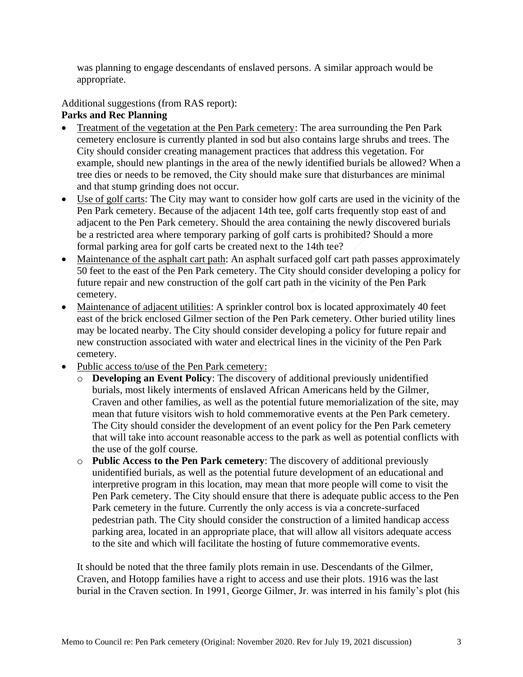was planning to engage descendants of enslaved persons. A similar approach would be appropriate.

Additional suggestions (from RAS report):

# **Parks and Rec Planning**

- Treatment of the vegetation at the Pen Park cemetery: The area surrounding the Pen Park cemetery enclosure is currently planted in sod but also contains large shrubs and trees. The City should consider creating management practices that address this vegetation. For example, should new plantings in the area of the newly identified burials be allowed? When a tree dies or needs to be removed, the City should make sure that disturbances are minimal and that stump grinding does not occur.
- Use of golf carts: The City may want to consider how golf carts are used in the vicinity of the Pen Park cemetery. Because of the adjacent 14th tee, golf carts frequently stop east of and adjacent to the Pen Park cemetery. Should the area containing the newly discovered burials be a restricted area where temporary parking of golf carts is prohibited? Should a more formal parking area for golf carts be created next to the 14th tee?
- Maintenance of the asphalt cart path: An asphalt surfaced golf cart path passes approximately 50 feet to the east of the Pen Park cemetery. The City should consider developing a policy for future repair and new construction of the golf cart path in the vicinity of the Pen Park cemetery.
- Maintenance of adjacent utilities: A sprinkler control box is located approximately 40 feet east of the brick enclosed Gilmer section of the Pen Park cemetery. Other buried utility lines may be located nearby. The City should consider developing a policy for future repair and new construction associated with water and electrical lines in the vicinity of the Pen Park cemetery.
- Public access to/use of the Pen Park cemetery:
	- o **Developing an Event Policy**: The discovery of additional previously unidentified burials, most likely interments of enslaved African Americans held by the Gilmer, Craven and other families, as well as the potential future memorialization of the site, may mean that future visitors wish to hold commemorative events at the Pen Park cemetery. The City should consider the development of an event policy for the Pen Park cemetery that will take into account reasonable access to the park as well as potential conflicts with the use of the golf course.
	- o **Public Access to the Pen Park cemetery**: The discovery of additional previously unidentified burials, as well as the potential future development of an educational and interpretive program in this location, may mean that more people will come to visit the Pen Park cemetery. The City should ensure that there is adequate public access to the Pen Park cemetery in the future. Currently the only access is via a concrete-surfaced pedestrian path. The City should consider the construction of a limited handicap access parking area, located in an appropriate place, that will allow all visitors adequate access to the site and which will facilitate the hosting of future commemorative events.

It should be noted that the three family plots remain in use. Descendants of the Gilmer, Craven, and Hotopp families have a right to access and use their plots. 1916 was the last burial in the Craven section. In 1991, George Gilmer, Jr. was interred in his family's plot (his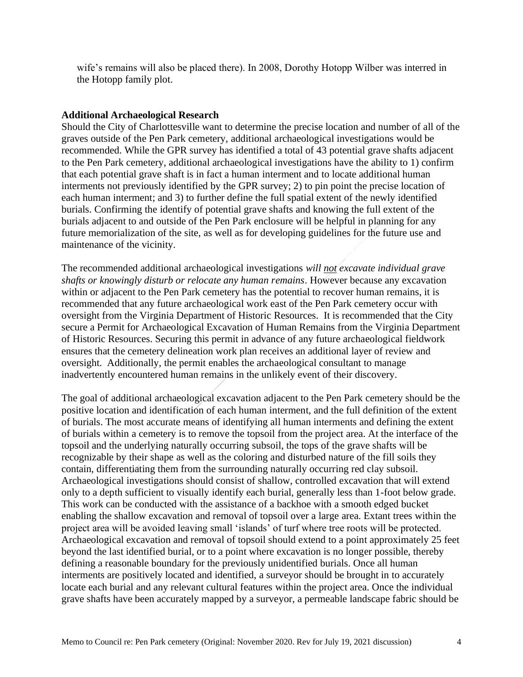wife's remains will also be placed there). In 2008, Dorothy Hotopp Wilber was interred in the Hotopp family plot.

### **Additional Archaeological Research**

Should the City of Charlottesville want to determine the precise location and number of all of the graves outside of the Pen Park cemetery, additional archaeological investigations would be recommended. While the GPR survey has identified a total of 43 potential grave shafts adjacent to the Pen Park cemetery, additional archaeological investigations have the ability to 1) confirm that each potential grave shaft is in fact a human interment and to locate additional human interments not previously identified by the GPR survey; 2) to pin point the precise location of each human interment; and 3) to further define the full spatial extent of the newly identified burials. Confirming the identify of potential grave shafts and knowing the full extent of the burials adjacent to and outside of the Pen Park enclosure will be helpful in planning for any future memorialization of the site, as well as for developing guidelines for the future use and maintenance of the vicinity.

The recommended additional archaeological investigations *will not excavate individual grave shafts or knowingly disturb or relocate any human remains*. However because any excavation within or adjacent to the Pen Park cemetery has the potential to recover human remains, it is recommended that any future archaeological work east of the Pen Park cemetery occur with oversight from the Virginia Department of Historic Resources. It is recommended that the City secure a Permit for Archaeological Excavation of Human Remains from the Virginia Department of Historic Resources. Securing this permit in advance of any future archaeological fieldwork ensures that the cemetery delineation work plan receives an additional layer of review and oversight. Additionally, the permit enables the archaeological consultant to manage inadvertently encountered human remains in the unlikely event of their discovery.

The goal of additional archaeological excavation adjacent to the Pen Park cemetery should be the positive location and identification of each human interment, and the full definition of the extent of burials. The most accurate means of identifying all human interments and defining the extent of burials within a cemetery is to remove the topsoil from the project area. At the interface of the topsoil and the underlying naturally occurring subsoil, the tops of the grave shafts will be recognizable by their shape as well as the coloring and disturbed nature of the fill soils they contain, differentiating them from the surrounding naturally occurring red clay subsoil. Archaeological investigations should consist of shallow, controlled excavation that will extend only to a depth sufficient to visually identify each burial, generally less than 1-foot below grade. This work can be conducted with the assistance of a backhoe with a smooth edged bucket enabling the shallow excavation and removal of topsoil over a large area. Extant trees within the project area will be avoided leaving small 'islands' of turf where tree roots will be protected. Archaeological excavation and removal of topsoil should extend to a point approximately 25 feet beyond the last identified burial, or to a point where excavation is no longer possible, thereby defining a reasonable boundary for the previously unidentified burials. Once all human interments are positively located and identified, a surveyor should be brought in to accurately locate each burial and any relevant cultural features within the project area. Once the individual grave shafts have been accurately mapped by a surveyor, a permeable landscape fabric should be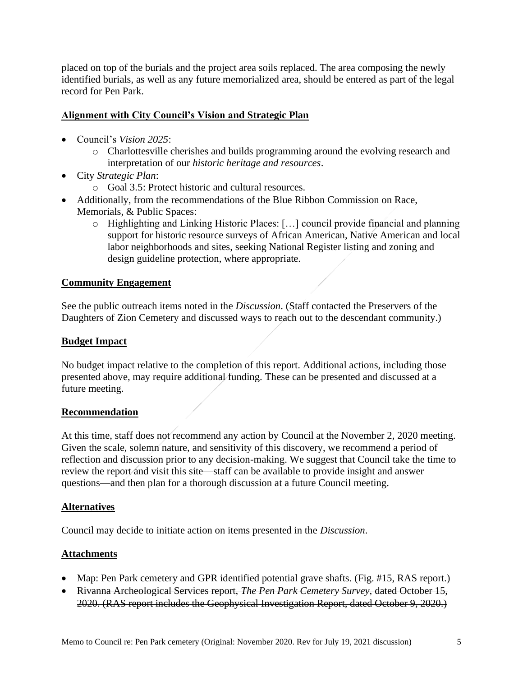placed on top of the burials and the project area soils replaced. The area composing the newly identified burials, as well as any future memorialized area, should be entered as part of the legal record for Pen Park.

### **Alignment with City Council's Vision and Strategic Plan**

- Council's *Vision 2025*:
	- o Charlottesville cherishes and builds programming around the evolving research and interpretation of our *historic heritage and resources*.
- City *Strategic Plan*:
	- o Goal 3.5: Protect historic and cultural resources.
- Additionally, from the recommendations of the Blue Ribbon Commission on Race, Memorials, & Public Spaces:
	- o Highlighting and Linking Historic Places: […] council provide financial and planning support for historic resource surveys of African American, Native American and local labor neighborhoods and sites, seeking National Register listing and zoning and design guideline protection, where appropriate.

### **Community Engagement**

See the public outreach items noted in the *Discussion*. (Staff contacted the Preservers of the Daughters of Zion Cemetery and discussed ways to reach out to the descendant community.)

### **Budget Impact**

No budget impact relative to the completion of this report. Additional actions, including those presented above, may require additional funding. These can be presented and discussed at a future meeting.

### **Recommendation**

At this time, staff does not recommend any action by Council at the November 2, 2020 meeting. Given the scale, solemn nature, and sensitivity of this discovery, we recommend a period of reflection and discussion prior to any decision-making. We suggest that Council take the time to review the report and visit this site—staff can be available to provide insight and answer questions—and then plan for a thorough discussion at a future Council meeting.

### **Alternatives**

Council may decide to initiate action on items presented in the *Discussion*.

# **Attachments**

- Map: Pen Park cemetery and GPR identified potential grave shafts. (Fig. #15, RAS report.)
- Rivanna Archeological Services report, *The Pen Park Cemetery Survey,* dated October 15, 2020. (RAS report includes the Geophysical Investigation Report, dated October 9, 2020.)